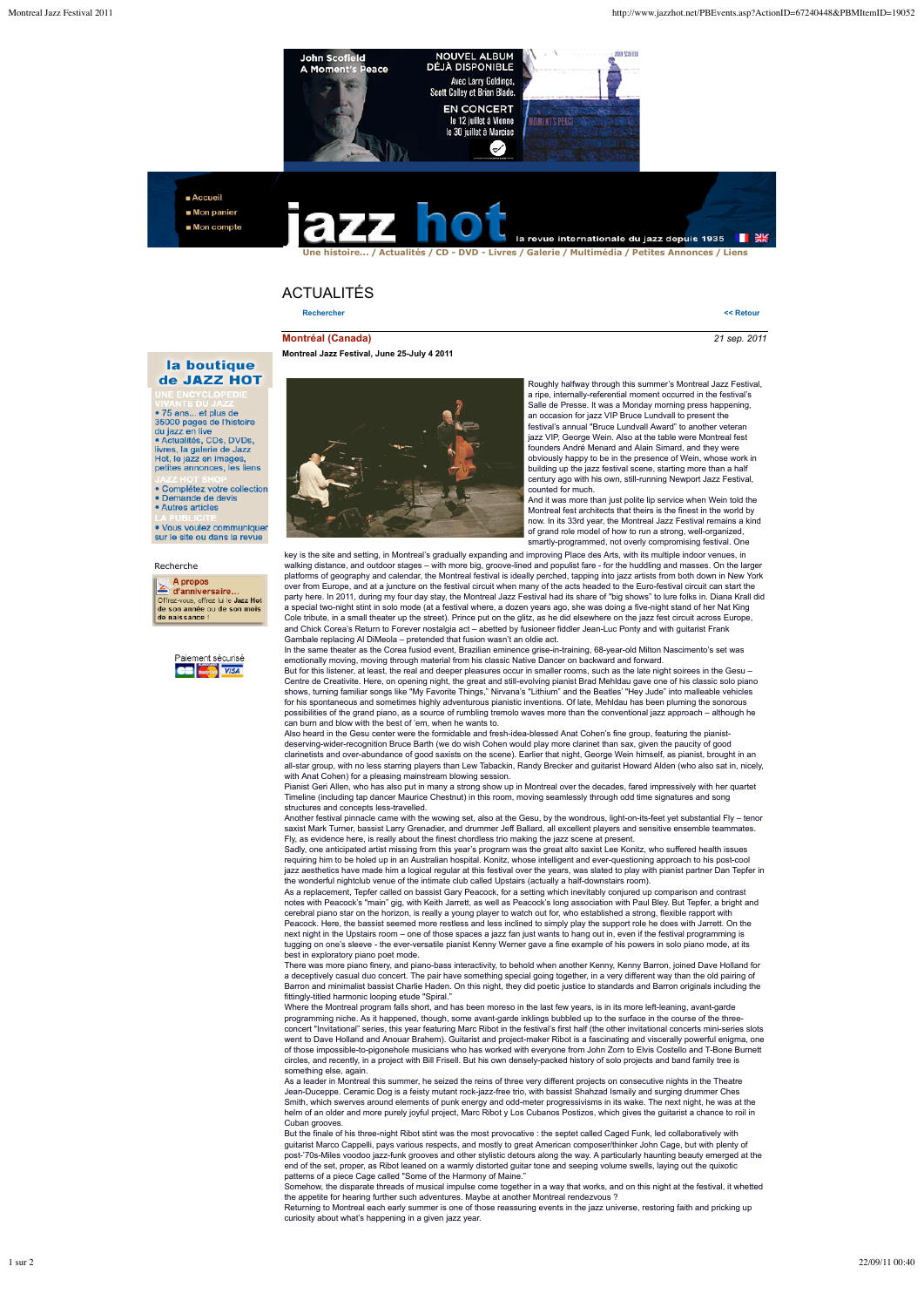

Accueil Mon panier Mon compte



## ACTUALITÉS

**Montreal Jazz Festival, June 25-July 4 2011**

**Rechercher << Retour**

**Montréal (Canada)** *21 sep. 2011*

## la boutique de JAZZ HOT

• 75 ans... et plus de<br>35000 pages de l'histoire<br>du jazz en live<br>• Actualités, CDs, DVDs,<br>livres, la galerie de Jazz<br>Hot, le jazz en images,<br>petites annonces, les liens

Complétez votre collection • Complétez votre complétez<br>• Demande de devis<br>• Autres articles

· Vous voulez communique sur le site ou dans la revue

## Recherche

 $\geq$  A propos<br>
d'anniversaire. Offrez-vous, offrez lui le Jazz Hot<br>de son année ou de son mois de paissance





Roughly halfway through this summer's Montreal Jazz Festival, a ripe, internally-referential moment occurred in the festival's Salle de Presse. It was a Monday morning press happening, an occasion for jazz VIP Bruce Lundvall to present the festival's annual "Bruce Lundvall Award" to another veteran jazz VIP, George Wein. Also at the table were Montreal fest founders André Menard and Alain Simard, and they were obviously happy to be in the presence of Wein, whose work in building up the jazz festival scene, starting more than a half century ago with his own, still-running Newport Jazz Festival, counted for much.

And it was more than just polite lip service when Wein told the Montreal fest architects that theirs is the finest in the world by now. In its 33rd year, the Montreal Jazz Festival remains a kind of grand role model of how to run a strong, well-organized, smartly-programmed, not overly compromising festival. One

key is the site and setting, in Montreal's gradually expanding and improving Place des Arts, with its multiple indoor venues, in walking distance, and outdoor stages – with more big, groove-lined and populist fare - for the huddling and masses. On the larger platforms of geography and calendar, the Montreal festival is ideally perched, tapping into jazz artists from both down in New York over from Europe, and at a juncture on the festival circuit when many of the acts headed to the Euro-festival circuit can start the<br>party here. In 2011, during my four day stay, the Montreal Jazz Festival had its share of a special two-night stint in solo mode (at a festival where, a dozen years ago, she was doing a five-night stand of her Nat King<br>Cole tribute, in a small theater up the street). Prince put on the glitz, as he did elsewhere and Chick Corea's Return to Forever nostalgia act – abetted by fusioneer fiddler Jean-Luc Ponty and with guitarist Frank

Gambale replacing Al DiMeola – pretended that fusion wasn't an oldie act. In the same theater as the Corea fusiod event, Brazilian eminence grise-in-training, 68-year-old Milton Nascimento's set was emotionally moving, moving through material from his classic Native Dancer on backward and forward.<br>But for this listener, at least, the real and deeper pleasures occur in smaller rooms, such as the late night soirees in t

Centre de Creativite. Here, on opening night, the great and still-evolving pianist Brad Mehldau gave one of his classic solo piano shows, turning familiar songs like "My Favorite Things," Nirvana's "Lithium" and the Beatles' "Hey Jude" into malleable vehicles<br>for his spontaneous and sometimes highly adventurous pianistic inventions. Of late, Mehldau h possibilities of the grand piano, as a source of rumbling tremolo waves more than the conventional jazz approach – although he can burn and blow with the best of 'em, when he wants to.

Also heard in the Gesu center were the formidable and fresh-idea-blessed Anat Cohen's fine group, featuring the pianistdeserving-wider-recognition Bruce Barth (we do wish Cohen would play more clarinet than sax, given the paucity of good<br>clarinetists and over-abundance of good saxists on the scene). Earlier that night, George Wein himself, all-star group, with no less starring players than Lew Tabackin, Randy Brecker and guitarist Howard Alden (who also sat in, nicely, with Anat Cohen) for a pleasing mainstream blowing session.

Pianist Geri Allen, who has also put in many a strong show up in Montreal over the decades, fared impressively with her quartet Timeline (including tap dancer Maurice Chestnut) in this room, moving seamlessly through odd time signatures and song structures and concepts less-travelled.

Another festival pinnacle came with the wowing set, also at the Gesu, by the wondrous, light-on-its-feet yet substantial Fly – tenor saxist Mark Turner, bassist Larry Grenadier, and drummer Jeff Ballard, all excellent players and sensitive ensemble teammates.

Fly, as evidence here, is really about the finest chordless trio making the jazz scene at present.<br>Sadly, one anticipated artist missing from this year's program was the great alto saxist Lee Konitz, who suffered health is requiring him to be holed up in an Australian hospital. Konitz, whose intelligent and ever-questioning approach to his post-cool<br>jazz aesthetics have made him a logical regular at this festival over the years, was slated t the wonderful nightclub venue of the intimate club called Upstairs (actually a half-downstairs room).

As a replacement, Tepfer called on bassist Gary Peacock, for a setting which inevitably conjured up comparison and contrast<br>notes with Peacock's "main" gig, with Keith Jarrett, as well as Peacock's long association with Pa cerebral piano star on the horizon, is really a young player to watch out for, who established a strong, flexible rapport with<br>Peacock. Here, the bassist seemed more restless and less inclined to simply play the support ro next night in the Upstairs room – one of those spaces a jazz fan just wants to hang out in, even if the festival programming is tugging on one's sleeve - the ever-versatile pianist Kenny Werner gave a fine example of his powers in solo piano mode, at its best in exploratory piano poet mode.

There was more piano finery, and piano-bass interactivity, to behold when another Kenny, Kenny Barron, joined Dave Holland foi<br>a deceptively casual duo concert. The pair have something special going together, in a very dif Barron and minimalist bassist Charlie Haden. On this night, they did poetic justice to standards and Barron originals including the fittingly-titled harmonic looping etude "Spiral."

Where the Montreal program falls short, and has been moreso in the last few years, is in its more left-leaning, avant-garded programming niche. As it happened, though, some avant-garde inklings bubbled up to the surface in the course of the threeconcert "Invitational" series, this year featuring Marc Ribot in the festival's first half (the other invitational concerts mini-series slots went to Dave Holland and Anouar Brahem). Guitarist and project-maker Ribot is a fascinating and viscerally powerful enigma, one<br>of those impossible-to-pigonehole musicians who has worked with everyone from John Zorn to Elv circles, and recently, in a project with Bill Frisell. But his own densely-packed history of solo projects and band family tree is something else, again.

As a leader in Montreal this summer, he seized the reins of three very different projects on consecutive nights in the Theatre Jean-Duceppe. Ceramic Dog is a feisty mutant rock-jazz-free trio, with bassist Shahzad Ismaily and surging drummer Ches<br>Smith, which swerves around elements of punk energy and odd-meter progressivisms in its wake. The nex Cuban grooves

But the finale of his three-night Ribot stint was the most provocative : the septet called Caged Funk, led collaboratively with guitarist Marco Cappelli, pays various respects, and mostly to great American composer/thinker John Cage, but with plenty of<br>post-'70s-Miles voodoo jazz-funk grooves and other stylistic detours along the way. A particularl end of the set, proper, as Ribot leaned on a warmly distorted guitar tone and seeping volume swells, laying out the quixotic patterns of a piece Cage called "Some of the Harmony of Maine."

Somehow, the disparate threads of musical impulse come together in a way that works, and on this night at the festival, it whetted the appetite for hearing further such adventures. Maybe at another Montreal rendezvous ? Returning to Montreal each early summer is one of those reassuring events in the jazz universe, restoring faith and pricking up

curiosity about what's happening in a given jazz year.